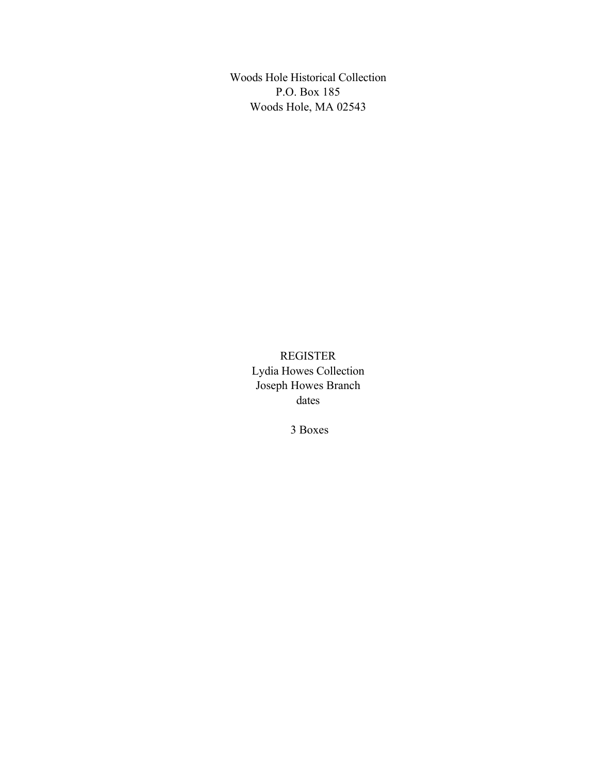Woods Hole Historical Collection P.O. Box 185 Woods Hole, MA 02543

> REGISTER Lydia Howes Collection Joseph Howes Branch dates

> > 3 Boxes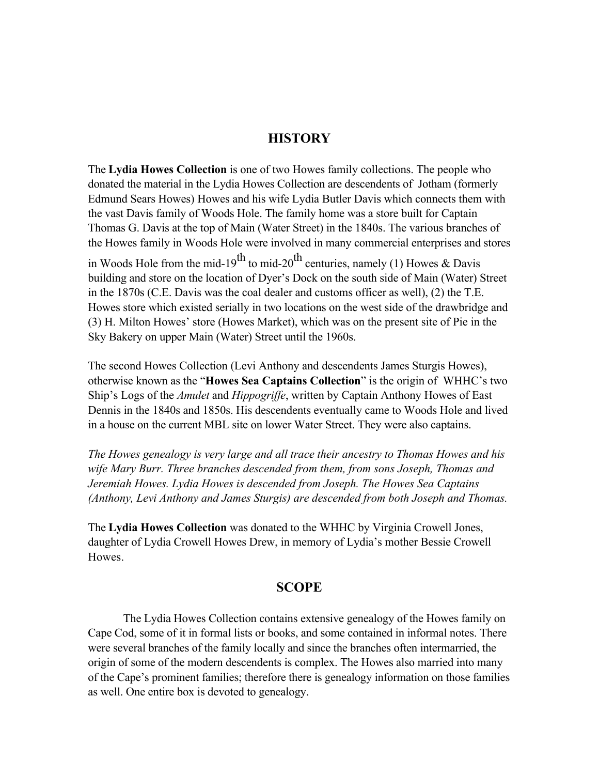#### **HISTORY**

The **Lydia Howes Collection** is one of two Howes family collections. The people who donated the material in the Lydia Howes Collection are descendents of Jotham (formerly Edmund Sears Howes) Howes and his wife Lydia Butler Davis which connects them with the vast Davis family of Woods Hole. The family home was a store built for Captain Thomas G. Davis at the top of Main (Water Street) in the 1840s. The various branches of the Howes family in Woods Hole were involved in many commercial enterprises and stores in Woods Hole from the mid-19<sup>th</sup> to mid-20<sup>th</sup> centuries, namely (1) Howes & Davis building and store on the location of Dyer's Dock on the south side of Main (Water) Street in the 1870s (C.E. Davis was the coal dealer and customs officer as well), (2) the T.E. Howes store which existed serially in two locations on the west side of the drawbridge and (3) H. Milton Howes' store (Howes Market), which was on the present site of Pie in the Sky Bakery on upper Main (Water) Street until the 1960s.

The second Howes Collection (Levi Anthony and descendents James Sturgis Howes), otherwise known as the "**Howes Sea Captains Collection**" is the origin of WHHC's two Ship's Logs of the *Amulet* and *Hippogriffe*, written by Captain Anthony Howes of East Dennis in the 1840s and 1850s. His descendents eventually came to Woods Hole and lived in a house on the current MBL site on lower Water Street. They were also captains.

*The Howes genealogy is very large and all trace their ancestry to Thomas Howes and his wife Mary Burr. Three branches descended from them, from sons Joseph, Thomas and Jeremiah Howes. Lydia Howes is descended from Joseph. The Howes Sea Captains (Anthony, Levi Anthony and James Sturgis) are descended from both Joseph and Thomas.*

The **Lydia Howes Collection** was donated to the WHHC by Virginia Crowell Jones, daughter of Lydia Crowell Howes Drew, in memory of Lydia's mother Bessie Crowell Howes.

#### **SCOPE**

The Lydia Howes Collection contains extensive genealogy of the Howes family on Cape Cod, some of it in formal lists or books, and some contained in informal notes. There were several branches of the family locally and since the branches often intermarried, the origin of some of the modern descendents is complex. The Howes also married into many of the Cape's prominent families; therefore there is genealogy information on those families as well. One entire box is devoted to genealogy.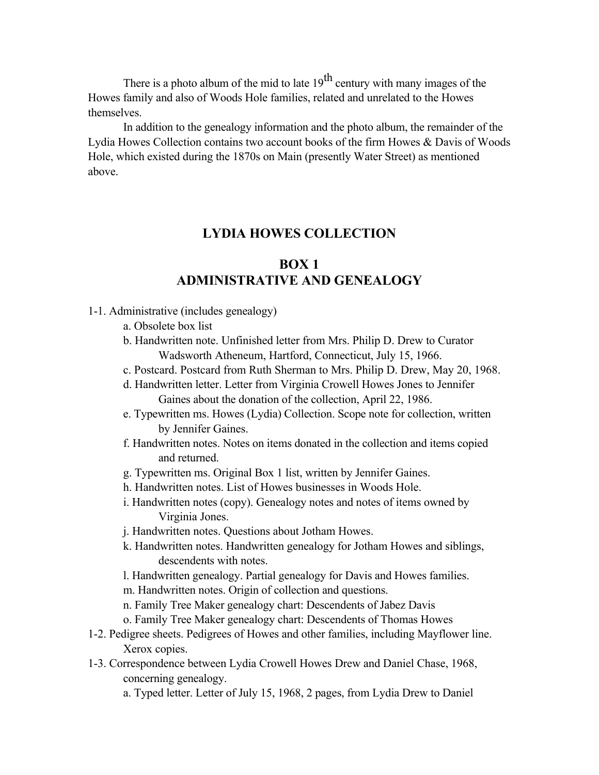There is a photo album of the mid to late  $19<sup>th</sup>$  century with many images of the Howes family and also of Woods Hole families, related and unrelated to the Howes themselves.

In addition to the genealogy information and the photo album, the remainder of the Lydia Howes Collection contains two account books of the firm Howes & Davis of Woods Hole, which existed during the 1870s on Main (presently Water Street) as mentioned above.

### **LYDIA HOWES COLLECTION**

## **BOX 1 ADMINISTRATIVE AND GENEALOGY**

- 1-1. Administrative (includes genealogy)
	- a. Obsolete box list
	- b. Handwritten note. Unfinished letter from Mrs. Philip D. Drew to Curator Wadsworth Atheneum, Hartford, Connecticut, July 15, 1966.
	- c. Postcard. Postcard from Ruth Sherman to Mrs. Philip D. Drew, May 20, 1968.
	- d. Handwritten letter. Letter from Virginia Crowell Howes Jones to Jennifer Gaines about the donation of the collection, April 22, 1986.
	- e. Typewritten ms. Howes (Lydia) Collection. Scope note for collection, written by Jennifer Gaines.
	- f. Handwritten notes. Notes on items donated in the collection and items copied and returned.
	- g. Typewritten ms. Original Box 1 list, written by Jennifer Gaines.
	- h. Handwritten notes. List of Howes businesses in Woods Hole.
	- i. Handwritten notes (copy). Genealogy notes and notes of items owned by Virginia Jones.
	- j. Handwritten notes. Questions about Jotham Howes.
	- k. Handwritten notes. Handwritten genealogy for Jotham Howes and siblings, descendents with notes.
	- l. Handwritten genealogy. Partial genealogy for Davis and Howes families.
	- m. Handwritten notes. Origin of collection and questions.
	- n. Family Tree Maker genealogy chart: Descendents of Jabez Davis
	- o. Family Tree Maker genealogy chart: Descendents of Thomas Howes
- 1-2. Pedigree sheets. Pedigrees of Howes and other families, including Mayflower line. Xerox copies.
- 1-3. Correspondence between Lydia Crowell Howes Drew and Daniel Chase, 1968, concerning genealogy.
	- a. Typed letter. Letter of July 15, 1968, 2 pages, from Lydia Drew to Daniel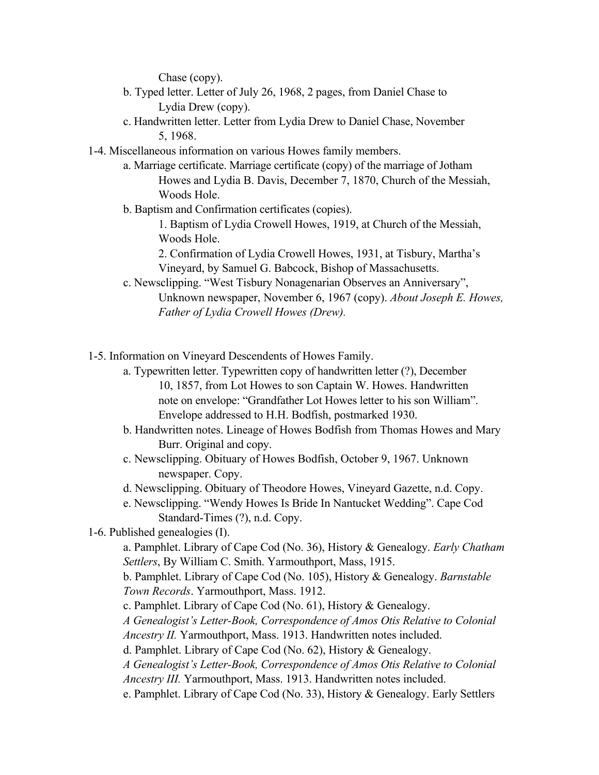Chase (copy).

- b. Typed letter. Letter of July 26, 1968, 2 pages, from Daniel Chase to Lydia Drew (copy).
- c. Handwritten letter. Letter from Lydia Drew to Daniel Chase, November 5, 1968.
- 1-4. Miscellaneous information on various Howes family members.
	- a. Marriage certificate. Marriage certificate (copy) of the marriage of Jotham Howes and Lydia B. Davis, December 7, 1870, Church of the Messiah, Woods Hole.
	- b. Baptism and Confirmation certificates (copies).
		- 1. Baptism of Lydia Crowell Howes, 1919, at Church of the Messiah, Woods Hole.
		- 2. Confirmation of Lydia Crowell Howes, 1931, at Tisbury, Martha's Vineyard, by Samuel G. Babcock, Bishop of Massachusetts.
	- c. Newsclipping. "West Tisbury Nonagenarian Observes an Anniversary", Unknown newspaper, November 6, 1967 (copy). *About Joseph E. Howes, Father of Lydia Crowell Howes (Drew).*
- 1-5. Information on Vineyard Descendents of Howes Family.
	- a. Typewritten letter. Typewritten copy of handwritten letter (?), December 10, 1857, from Lot Howes to son Captain W. Howes. Handwritten note on envelope: "Grandfather Lot Howes letter to his son William". Envelope addressed to H.H. Bodfish, postmarked 1930.
	- b. Handwritten notes. Lineage of Howes Bodfish from Thomas Howes and Mary Burr. Original and copy.
	- c. Newsclipping. Obituary of Howes Bodfish, October 9, 1967. Unknown newspaper. Copy.
	- d. Newsclipping. Obituary of Theodore Howes, Vineyard Gazette, n.d. Copy.
	- e. Newsclipping. "Wendy Howes Is Bride In Nantucket Wedding". Cape Cod Standard-Times (?), n.d. Copy.
- 1-6. Published genealogies (I).

a. Pamphlet. Library of Cape Cod (No. 36), History & Genealogy. *Early Chatham Settlers*, By William C. Smith. Yarmouthport, Mass, 1915.

b. Pamphlet. Library of Cape Cod (No. 105), History & Genealogy. *Barnstable Town Records*. Yarmouthport, Mass. 1912.

- c. Pamphlet. Library of Cape Cod (No. 61), History & Genealogy.
- *A Genealogist's Letter-Book, Correspondence of Amos Otis Relative to Colonial Ancestry II.* Yarmouthport, Mass. 1913. Handwritten notes included.
- d. Pamphlet. Library of Cape Cod (No. 62), History & Genealogy.
- *A Genealogist's Letter-Book, Correspondence of Amos Otis Relative to Colonial Ancestry III.* Yarmouthport, Mass. 1913. Handwritten notes included.
- e. Pamphlet. Library of Cape Cod (No. 33), History & Genealogy. Early Settlers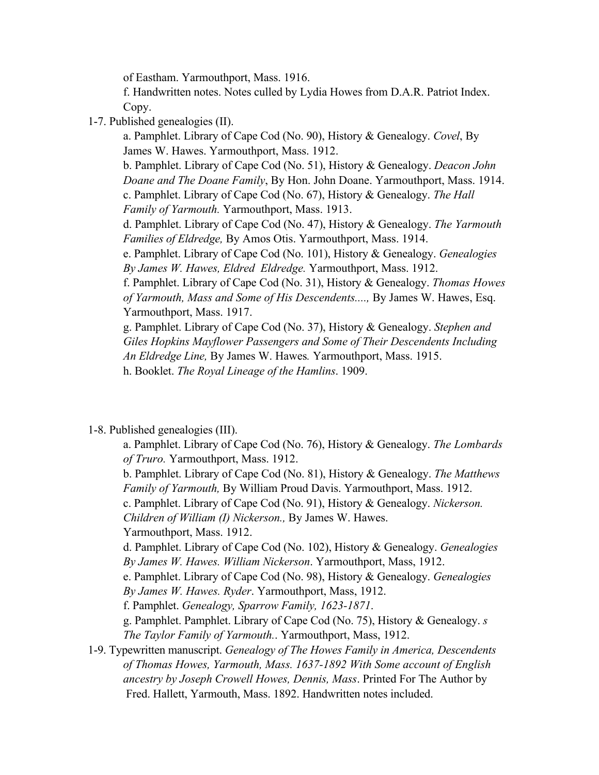of Eastham. Yarmouthport, Mass. 1916.

f. Handwritten notes. Notes culled by Lydia Howes from D.A.R. Patriot Index. Copy.

1-7. Published genealogies (II).

a. Pamphlet. Library of Cape Cod (No. 90), History & Genealogy. *Covel*, By James W. Hawes. Yarmouthport, Mass. 1912.

b. Pamphlet. Library of Cape Cod (No. 51), History & Genealogy. *Deacon John Doane and The Doane Family*, By Hon. John Doane. Yarmouthport, Mass. 1914. c. Pamphlet. Library of Cape Cod (No. 67), History & Genealogy. *The Hall Family of Yarmouth.* Yarmouthport, Mass. 1913.

d. Pamphlet. Library of Cape Cod (No. 47), History & Genealogy. *The Yarmouth Families of Eldredge,* By Amos Otis. Yarmouthport, Mass. 1914.

e. Pamphlet. Library of Cape Cod (No. 101), History & Genealogy. *Genealogies By James W. Hawes, Eldred Eldredge.* Yarmouthport, Mass. 1912.

f. Pamphlet. Library of Cape Cod (No. 31), History & Genealogy. *Thomas Howes of Yarmouth, Mass and Some of His Descendents....,* By James W. Hawes, Esq. Yarmouthport, Mass. 1917.

g. Pamphlet. Library of Cape Cod (No. 37), History & Genealogy. *Stephen and Giles Hopkins Mayflower Passengers and Some of Their Descendents Including An Eldredge Line,* By James W. Hawes*.* Yarmouthport, Mass. 1915. h. Booklet. *The Royal Lineage of the Hamlins*. 1909.

1-8. Published genealogies (III).

a. Pamphlet. Library of Cape Cod (No. 76), History & Genealogy. *The Lombards of Truro.* Yarmouthport, Mass. 1912.

b. Pamphlet. Library of Cape Cod (No. 81), History & Genealogy. *The Matthews Family of Yarmouth,* By William Proud Davis. Yarmouthport, Mass. 1912.

c. Pamphlet. Library of Cape Cod (No. 91), History & Genealogy. *Nickerson.*

*Children of William (I) Nickerson.,* By James W. Hawes.

Yarmouthport, Mass. 1912.

d. Pamphlet. Library of Cape Cod (No. 102), History & Genealogy. *Genealogies By James W. Hawes. William Nickerson*. Yarmouthport, Mass, 1912.

e. Pamphlet. Library of Cape Cod (No. 98), History & Genealogy. *Genealogies By James W. Hawes. Ryder*. Yarmouthport, Mass, 1912.

f. Pamphlet. *Genealogy, Sparrow Family, 1623-1871*.

g. Pamphlet. Pamphlet. Library of Cape Cod (No. 75), History & Genealogy. *s The Taylor Family of Yarmouth.*. Yarmouthport, Mass, 1912.

1-9. Typewritten manuscript. *Genealogy of The Howes Family in America, Descendents of Thomas Howes, Yarmouth, Mass. 1637-1892 With Some account of English ancestry by Joseph Crowell Howes, Dennis, Mass*. Printed For The Author by Fred. Hallett, Yarmouth, Mass. 1892. Handwritten notes included.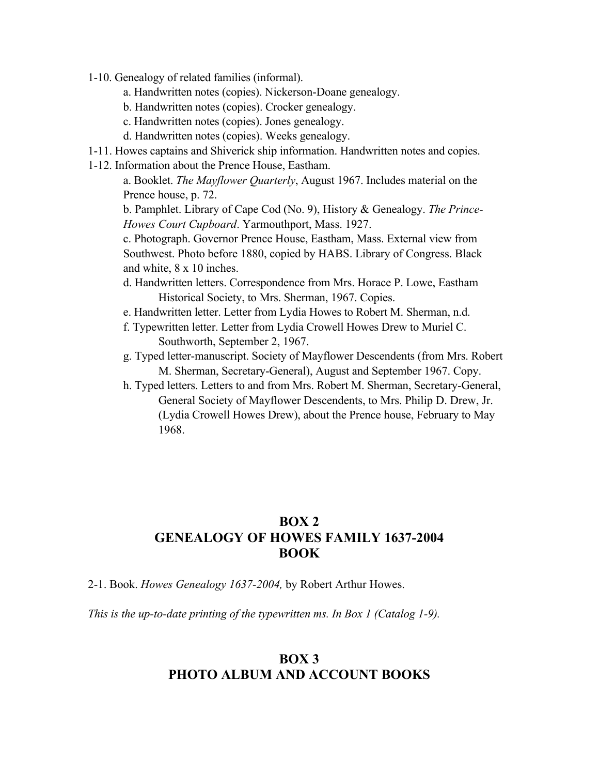- 1-10. Genealogy of related families (informal).
	- a. Handwritten notes (copies). Nickerson-Doane genealogy.
	- b. Handwritten notes (copies). Crocker genealogy.
	- c. Handwritten notes (copies). Jones genealogy.
	- d. Handwritten notes (copies). Weeks genealogy.
- 1-11. Howes captains and Shiverick ship information. Handwritten notes and copies.
- 1-12. Information about the Prence House, Eastham.
	- a. Booklet. *The Mayflower Quarterly*, August 1967. Includes material on the Prence house, p. 72.
	- b. Pamphlet. Library of Cape Cod (No. 9), History & Genealogy. *The Prince-Howes Court Cupboard*. Yarmouthport, Mass. 1927.

c. Photograph. Governor Prence House, Eastham, Mass. External view from Southwest. Photo before 1880, copied by HABS. Library of Congress. Black and white, 8 x 10 inches.

- d. Handwritten letters. Correspondence from Mrs. Horace P. Lowe, Eastham Historical Society, to Mrs. Sherman, 1967. Copies.
- e. Handwritten letter. Letter from Lydia Howes to Robert M. Sherman, n.d.
- f. Typewritten letter. Letter from Lydia Crowell Howes Drew to Muriel C. Southworth, September 2, 1967.
- g. Typed letter-manuscript. Society of Mayflower Descendents (from Mrs. Robert M. Sherman, Secretary-General), August and September 1967. Copy.
- h. Typed letters. Letters to and from Mrs. Robert M. Sherman, Secretary-General, General Society of Mayflower Descendents, to Mrs. Philip D. Drew, Jr. (Lydia Crowell Howes Drew), about the Prence house, February to May 1968.

# **BOX 2 GENEALOGY OF HOWES FAMILY 1637-2004 BOOK**

2-1. Book. *Howes Genealogy 1637-2004,* by Robert Arthur Howes.

*This is the up-to-date printing of the typewritten ms. In Box 1 (Catalog 1-9).*

# **BOX 3 PHOTO ALBUM AND ACCOUNT BOOKS**